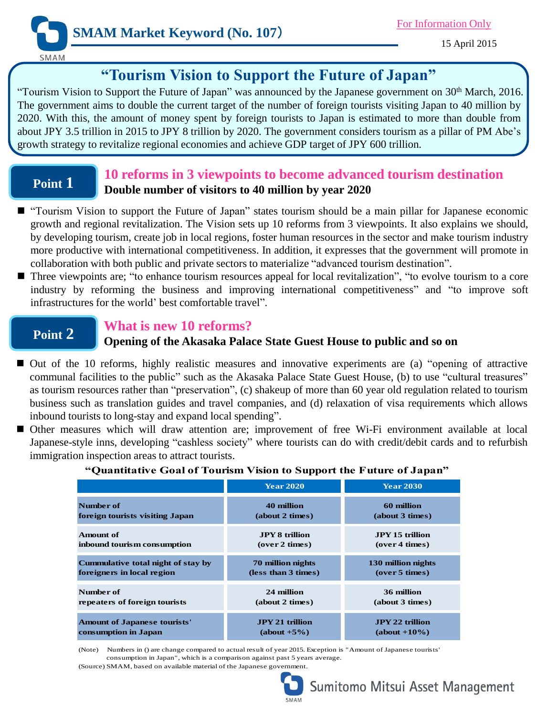

15 April 2015

## **"Tourism Vision to Support the Future of Japan"**

"Tourism Vision to Support the Future of Japan" was announced by the Japanese government on 30<sup>th</sup> March, 2016. The government aims to double the current target of the number of foreign tourists visiting Japan to 40 million by 2020. With this, the amount of money spent by foreign tourists to Japan is estimated to more than double from about JPY 3.5 trillion in 2015 to JPY 8 trillion by 2020. The government considers tourism as a pillar of PM Abe's growth strategy to revitalize regional economies and achieve GDP target of JPY 600 trillion.

## **Point 1**

## **10 reforms in 3 viewpoints to become advanced tourism destination Double number of visitors to 40 million by year 2020**

- "Tourism Vision to support the Future of Japan" states tourism should be a main pillar for Japanese economic growth and regional revitalization. The Vision sets up 10 reforms from 3 viewpoints. It also explains we should, by developing tourism, create job in local regions, foster human resources in the sector and make tourism industry more productive with international competitiveness. In addition, it expresses that the government will promote in collaboration with both public and private sectors to materialize "advanced tourism destination".
- Three viewpoints are; "to enhance tourism resources appeal for local revitalization", "to evolve tourism to a core industry by reforming the business and improving international competitiveness" and "to improve soft infrastructures for the world' best comfortable travel".

## **Point 2**

## **What is new 10 reforms?**

### **Opening of the Akasaka Palace State Guest House to public and so on**

- Out of the 10 reforms, highly realistic measures and innovative experiments are (a) "opening of attractive communal facilities to the public" such as the Akasaka Palace State Guest House, (b) to use "cultural treasures" as tourism resources rather than "preservation", (c) shakeup of more than 60 year old regulation related to tourism business such as translation guides and travel companies, and (d) relaxation of visa requirements which allows inbound tourists to long-stay and expand local spending".
- Other measures which will draw attention are; improvement of free Wi-Fi environment available at local Japanese-style inns, developing "cashless society" where tourists can do with credit/debit cards and to refurbish immigration inspection areas to attract tourists.

|                                     | <b>Year 2020</b>       | <b>Year 2030</b>       |
|-------------------------------------|------------------------|------------------------|
| Number of                           | 40 million             | 60 million             |
| foreign tourists visiting Japan     | (about 2 times)        | (about 3 times)        |
| Amount of                           | <b>JPY 8 trillion</b>  | <b>JPY 15 trillion</b> |
| inbound tourism consumption         | (over 2 times)         | (over 4 times)         |
| Cummulative total night of stay by  | 70 million nights      | 130 million nights     |
| foreigners in local region          | (less than 3 times)    | (over 5 times)         |
| Number of                           | 24 million             | 36 million             |
| repeaters of foreign tourists       | (about 2 times)        | (about 3 times)        |
| <b>Amount of Japanese tourists'</b> | <b>JPY 21 trillion</b> | <b>JPY 22 trillion</b> |
| consumption in Japan                | $(about +5%)$          | $(about +10\%)$        |

### **"Quantitative Goal of Tourism Vision to Support the Future of Japan"**

(Note) Numbers in () are change compared to actual result of year 2015. Exception is "Amount of Japanese tourists' consumption in Japan", which is a comparison against past 5 years average.

(Source) SMAM, based on available material of the Japanese government.



# Sumitomo Mitsui Asset Management